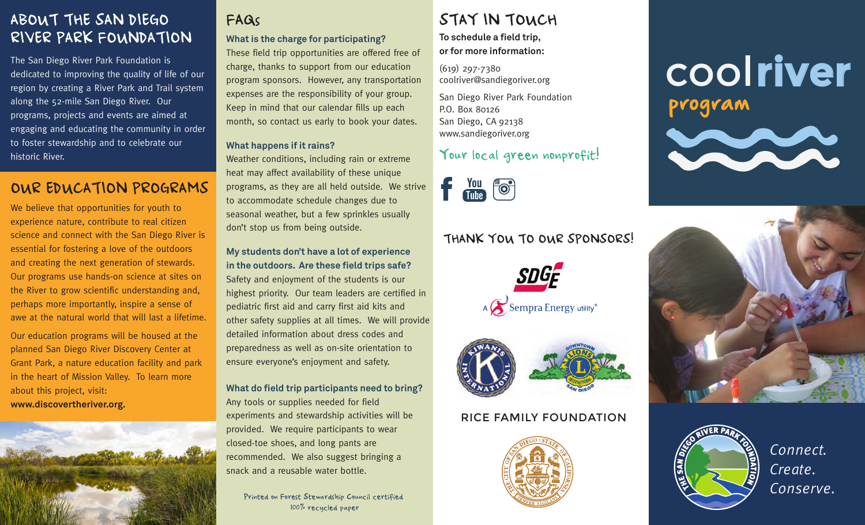# ABOUT THE SAN DIEGO **FAGISTION CONTROLLER IN TOUCH** RIVER PARK FOUNDATION

The San Diego River Park Foundation is dedicated to improving the quality of life of our region by creating a River Park and Trail system along the 52-mile San Diego River. Our programs, projects and events are aimed at engaging and educating the community in order to foster stewardship and to celebrate our historic River.

# OUR EDUCATION PROGRAMS

We believe that opportunities for youth to experience nature, contribute to real citizen science and connect with the San Diego River is essential for fostering a love of the outdoors and creating the next generation of stewards. Our programs use hands-on science at sites on the River to grow scientific understanding and, perhaps more importantly, inspire a sense of awe at the natural world that will last a lifetime.

Our education programs will be housed at the planned San Diego River Discovery Center at Grant Park, a nature education facility and park in the heart of Mission Valley. To learn more about this project, visit: **www.discovertheriver.org.**



# FAQs

# **What is the charge for participating?**

These field trip opportunities are offered free of charge, thanks to support from our education program sponsors. However, any transportation expenses are the responsibility of your group. Keep in mind that our calendar fills up each month, so contact us early to book your dates.

#### **What happens if it rains?**

Weather conditions, including rain or extreme heat may affect availability of these unique programs, as they are all held outside. We strive to accommodate schedule changes due to seasonal weather, but a few sprinkles usually don't stop us from being outside.

#### **My students don't have a lot of experience in the outdoors. Are these field trips safe?**

Safety and enjoyment of the students is our highest priority. Our team leaders are certified in pediatric first aid and carry first aid kits and other safety supplies at all times. We will provide detailed information about dress codes and preparedness as well as on-site orientation to ensure everyone's enjoyment and safety.

#### **What do field trip participants need to bring?**

Any tools or supplies needed for field experiments and stewardship activities will be provided. We require participants to wear closed-toe shoes, and long pants are recommended. We also suggest bringing a snack and a reusable water bottle.

100% recycled paper

#### **To schedule a field trip, or for more information:**

(619) 297-7380 coolriver@sandiegoriver.org

San Diego River Park Foundation P.O. Box 80126 San Diego, CA 92138 www.sandiegoriver.org

### Your local green nonprofit!



## THANK YOU TO OUR SPONSORS!





#### RICE FAMILY FOUNDATION



# cool**river** program







*Connect. Create.*